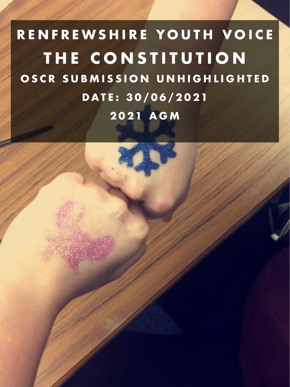# **RENFREWSHIRE YOUTH VOICE THE CONSTITUTION OSCR SUBMISSION UNHIGHLIGHTED DATE: 30/06/2021 2021 AGM**

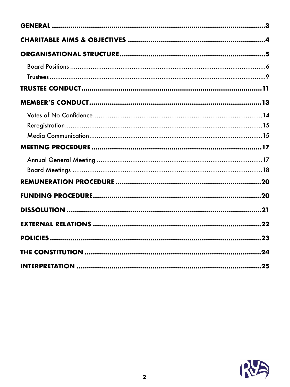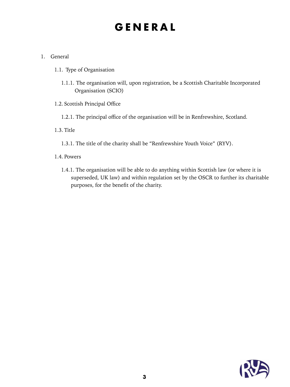## <span id="page-2-0"></span>**GENERAL**

#### 1. General

- 1.1. Type of Organisation
	- 1.1.1. The organisation will, upon registration, be a Scottish Charitable Incorporated Organisation (SCIO)

### 1.2. Scottish Principal Office

1.2.1. The principal office of the organisation will be in Renfrewshire, Scotland.

#### 1.3. Title

1.3.1. The title of the charity shall be "Renfrewshire Youth Voice" (RYV).

### 1.4. Powers

1.4.1. The organisation will be able to do anything within Scottish law (or where it is superseded, UK law) and within regulation set by the OSCR to further its charitable purposes, for the benefit of the charity.

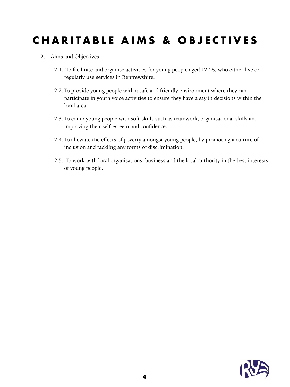### <span id="page-3-0"></span>**CHARITABLE AIMS & OBJECTIVES**

- 2. Aims and Objectives
	- 2.1. To facilitate and organise activities for young people aged 12-25, who either live or regularly use services in Renfrewshire.
	- 2.2. To provide young people with a safe and friendly environment where they can participate in youth voice activities to ensure they have a say in decisions within the local area.
	- 2.3. To equip young people with soft-skills such as teamwork, organisational skills and improving their self-esteem and confidence.
	- 2.4. To alleviate the effects of poverty amongst young people, by promoting a culture of inclusion and tackling any forms of discrimination.
	- 2.5. To work with local organisations, business and the local authority in the best interests of young people.

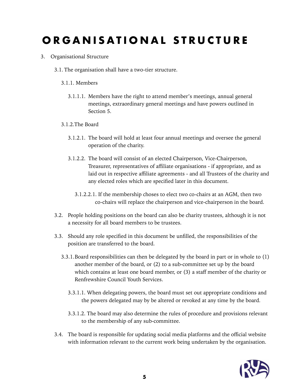## <span id="page-4-0"></span>**ORGANISATIONAL STRUCTURE**

- 3. Organisational Structure
	- 3.1. The organisation shall have a two-tier structure.

#### 3.1.1. Members

- 3.1.1.1. Members have the right to attend member's meetings, annual general meetings, extraordinary general meetings and have powers outlined in Section 5.
- 3.1.2.The Board
	- 3.1.2.1. The board will hold at least four annual meetings and oversee the general operation of the charity.
	- 3.1.2.2. The board will consist of an elected Chairperson, Vice-Chairperson, Treasurer, representatives of affiliate organisations - if appropriate, and as laid out in respective affiliate agreements - and all Trustees of the charity and any elected roles which are specified later in this document.
		- 3.1.2.2.1. If the membership choses to elect two co-chairs at an AGM, then two co-chairs will replace the chairperson and vice-chairperson in the board.
- 3.2. People holding positions on the board can also be charity trustees, although it is not a necessity for all board members to be trustees.
- 3.3. Should any role specified in this document be unfilled, the responsibilities of the position are transferred to the board.
	- 3.3.1.Board responsibilities can then be delegated by the board in part or in whole to (1) another member of the board, or (2) to a sub-committee set up by the board which contains at least one board member, or  $(3)$  a staff member of the charity or Renfrewshire Council Youth Services.
		- 3.3.1.1. When delegating powers, the board must set out appropriate conditions and the powers delegated may by be altered or revoked at any time by the board.
		- 3.3.1.2. The board may also determine the rules of procedure and provisions relevant to the membership of any sub-committee.
- 3.4. The board is responsible for updating social media platforms and the official website with information relevant to the current work being undertaken by the organisation.

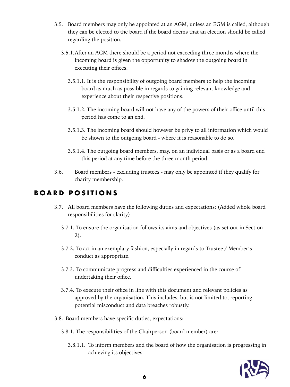- 3.5. Board members may only be appointed at an AGM, unless an EGM is called, although they can be elected to the board if the board deems that an election should be called regarding the position.
	- 3.5.1.After an AGM there should be a period not exceeding three months where the incoming board is given the opportunity to shadow the outgoing board in executing their offices.
		- 3.5.1.1. It is the responsibility of outgoing board members to help the incoming board as much as possible in regards to gaining relevant knowledge and experience about their respective positions.
		- 3.5.1.2. The incoming board will not have any of the powers of their office until this period has come to an end.
		- 3.5.1.3. The incoming board should however be privy to all information which would be shown to the outgoing board - where it is reasonable to do so.
		- 3.5.1.4. The outgoing board members, may, on an individual basis or as a board end this period at any time before the three month period.
- 3.6. Board members excluding trustees may only be appointed if they qualify for charity membership.

### <span id="page-5-0"></span> **BOARD POSITIONS**

- 3.7. All board members have the following duties and expectations: (Added whole board responsibilities for clarity)
	- 3.7.1. To ensure the organisation follows its aims and objectives (as set out in Section 2).
	- 3.7.2. To act in an exemplary fashion, especially in regards to Trustee / Member's conduct as appropriate.
	- 3.7.3. To communicate progress and difficulties experienced in the course of undertaking their office.
	- 3.7.4. To execute their office in line with this document and relevant policies as approved by the organisation. This includes, but is not limited to, reporting potential misconduct and data breaches robustly.
- 3.8. Board members have specific duties, expectations:
	- 3.8.1. The responsibilities of the Chairperson (board member) are:
		- 3.8.1.1. To inform members and the board of how the organisation is progressing in achieving its objectives.

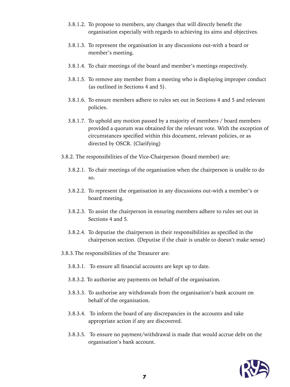- 3.8.1.2. To propose to members, any changes that will directly benefit the organisation especially with regards to achieving its aims and objectives.
- 3.8.1.3. To represent the organisation in any discussions out-with a board or member's meeting.
- 3.8.1.4. To chair meetings of the board and member's meetings respectively.
- 3.8.1.5. To remove any member from a meeting who is displaying improper conduct (as outlined in Sections 4 and 5).
- 3.8.1.6. To ensure members adhere to rules set out in Sections 4 and 5 and relevant policies.
- 3.8.1.7. To uphold any motion passed by a majority of members / board members provided a quorum was obtained for the relevant vote. With the exception of circumstances specified within this document, relevant policies, or as directed by OSCR. (Clarifying)
- 3.8.2. The responsibilities of the Vice-Chairperson (board member) are:
	- 3.8.2.1. To chair meetings of the organisation when the chairperson is unable to do so.
	- 3.8.2.2. To represent the organisation in any discussions out-with a member's or board meeting.
	- 3.8.2.3. To assist the chairperson in ensuring members adhere to rules set out in Sections 4 and 5.
	- 3.8.2.4. To deputise the chairperson in their responsibilities as specified in the chairperson section. (Deputise if the chair is unable to doesn't make sense)
- 3.8.3.The responsibilities of the Treasurer are:
	- 3.8.3.1. To ensure all financial accounts are kept up to date.
	- 3.8.3.2. To authorise any payments on behalf of the organisation.
	- 3.8.3.3. To authorise any withdrawals from the organisation's bank account on behalf of the organisation.
	- 3.8.3.4. To inform the board of any discrepancies in the accounts and take appropriate action if any are discovered.
	- 3.8.3.5. To ensure no payment/withdrawal is made that would accrue debt on the organisation's bank account.

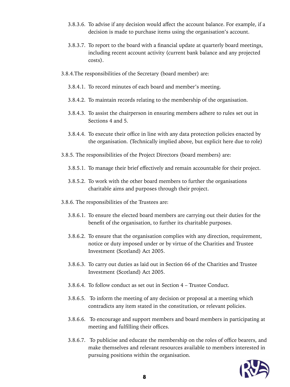- 3.8.3.6. To advise if any decision would affect the account balance. For example, if a decision is made to purchase items using the organisation's account.
- 3.8.3.7. To report to the board with a financial update at quarterly board meetings, including recent account activity (current bank balance and any projected costs).
- 3.8.4.The responsibilities of the Secretary (board member) are:
	- 3.8.4.1. To record minutes of each board and member's meeting.
	- 3.8.4.2. To maintain records relating to the membership of the organisation.
	- 3.8.4.3. To assist the chairperson in ensuring members adhere to rules set out in Sections 4 and 5.
	- 3.8.4.4. To execute their office in line with any data protection policies enacted by the organisation. (Technically implied above, but explicit here due to role)
- 3.8.5. The responsibilities of the Project Directors (board members) are:
	- 3.8.5.1. To manage their brief effectively and remain accountable for their project.
	- 3.8.5.2. To work with the other board members to further the organisations charitable aims and purposes through their project.
- 3.8.6. The responsibilities of the Trustees are:
	- 3.8.6.1. To ensure the elected board members are carrying out their duties for the benefit of the organisation, to further its charitable purposes.
	- 3.8.6.2. To ensure that the organisation complies with any direction, requirement, notice or duty imposed under or by virtue of the Charities and Trustee Investment (Scotland) Act 2005.
	- 3.8.6.3. To carry out duties as laid out in Section 66 of the Charities and Trustee Investment (Scotland) Act 2005.
	- 3.8.6.4. To follow conduct as set out in Section 4 Trustee Conduct.
	- 3.8.6.5. To inform the meeting of any decision or proposal at a meeting which contradicts any item stated in the constitution, or relevant policies.
	- 3.8.6.6. To encourage and support members and board members in participating at meeting and fulfilling their offices.
	- 3.8.6.7. To publicise and educate the membership on the roles of office bearers, and make themselves and relevant resources available to members interested in pursuing positions within the organisation.

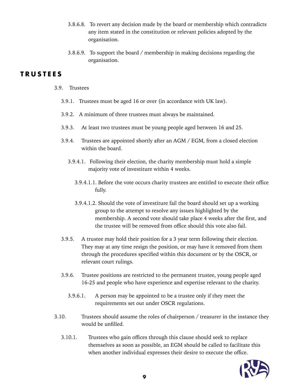- 3.8.6.8. To revert any decision made by the board or membership which contradicts any item stated in the constitution or relevant policies adopted by the organisation.
- 3.8.6.9. To support the board / membership in making decisions regarding the organisation.

### <span id="page-8-0"></span>**TRUSTEES**

- 3.9. Trustees
	- 3.9.1. Trustees must be aged 16 or over (in accordance with UK law).
	- 3.9.2. A minimum of three trustees must always be maintained.
	- 3.9.3. At least two trustees must be young people aged between 16 and 25.
	- 3.9.4. Trustees are appointed shortly after an AGM / EGM, from a closed election within the board.
		- 3.9.4.1. Following their election, the charity membership must hold a simple majority vote of investiture within 4 weeks.
			- 3.9.4.1.1. Before the vote occurs charity trustees are entitled to execute their office fully.
			- 3.9.4.1.2. Should the vote of investiture fail the board should set up a working group to the attempt to resolve any issues highlighted by the membership. A second vote should take place 4 weeks after the first, and the trustee will be removed from office should this vote also fail.
	- 3.9.5. A trustee may hold their position for a 3 year term following their election. They may at any time resign the position, or may have it removed from them through the procedures specified within this document or by the OSCR, or relevant court rulings.
	- 3.9.6. Trustee positions are restricted to the permanent trustee, young people aged 16-25 and people who have experience and expertise relevant to the charity.
		- 3.9.6.1. A person may be appointed to be a trustee only if they meet the requirements set out under OSCR regulations.
- 3.10. Trustees should assume the roles of chairperson / treasurer in the instance they would be unfilled.
	- 3.10.1. Trustees who gain offices through this clause should seek to replace themselves as soon as possible, an EGM should be called to facilitate this when another individual expresses their desire to execute the office.

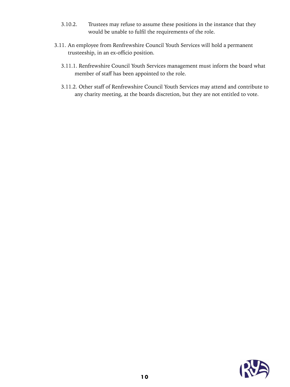- 3.10.2. Trustees may refuse to assume these positions in the instance that they would be unable to fulfil the requirements of the role.
- 3.11. An employee from Renfrewshire Council Youth Services will hold a permanent trusteeship, in an ex-officio position.
	- 3.11.1. Renfrewshire Council Youth Services management must inform the board what member of staff has been appointed to the role.
	- 3.11.2. Other staff of Renfrewshire Council Youth Services may attend and contribute to any charity meeting, at the boards discretion, but they are not entitled to vote.

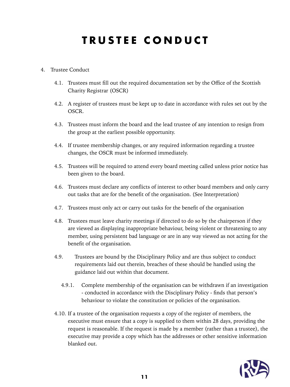### <span id="page-10-0"></span>**TRUSTEE CONDUCT**

- 4. Trustee Conduct
	- 4.1. Trustees must fill out the required documentation set by the Office of the Scottish Charity Registrar (OSCR)
	- 4.2. A register of trustees must be kept up to date in accordance with rules set out by the OSCR.
	- 4.3. Trustees must inform the board and the lead trustee of any intention to resign from the group at the earliest possible opportunity.
	- 4.4. If trustee membership changes, or any required information regarding a trustee changes, the OSCR must be informed immediately.
	- 4.5. Trustees will be required to attend every board meeting called unless prior notice has been given to the board.
	- 4.6. Trustees must declare any conflicts of interest to other board members and only carry out tasks that are for the benefit of the organisation. (See Interpretation)
	- 4.7. Trustees must only act or carry out tasks for the benefit of the organisation
	- 4.8. Trustees must leave charity meetings if directed to do so by the chairperson if they are viewed as displaying inappropriate behaviour, being violent or threatening to any member, using persistent bad language or are in any way viewed as not acting for the benefit of the organisation.
	- 4.9. Trustees are bound by the Disciplinary Policy and are thus subject to conduct requirements laid out therein, breaches of these should be handled using the guidance laid out within that document.
		- 4.9.1. Complete membership of the organisation can be withdrawn if an investigation - conducted in accordance with the Disciplinary Policy - finds that person's behaviour to violate the constitution or policies of the organisation.
	- 4.10. If a trustee of the organisation requests a copy of the register of members, the executive must ensure that a copy is supplied to them within 28 days, providing the request is reasonable. If the request is made by a member (rather than a trustee), the executive may provide a copy which has the addresses or other sensitive information blanked out.

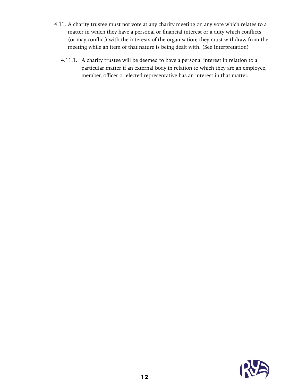- 4.11. A charity trustee must not vote at any charity meeting on any vote which relates to a matter in which they have a personal or financial interest or a duty which conflicts (or may conflict) with the interests of the organisation; they must withdraw from the meeting while an item of that nature is being dealt with. (See Interpretation)
	- 4.11.1. A charity trustee will be deemed to have a personal interest in relation to a particular matter if an external body in relation to which they are an employee, member, officer or elected representative has an interest in that matter.

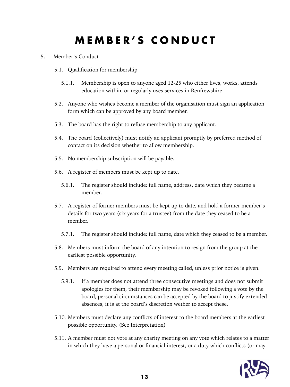### <span id="page-12-0"></span>**MEMBER'S CONDUCT**

- 5. Member's Conduct
	- 5.1. Qualification for membership
		- 5.1.1. Membership is open to anyone aged 12-25 who either lives, works, attends education within, or regularly uses services in Renfrewshire.
	- 5.2. Anyone who wishes become a member of the organisation must sign an application form which can be approved by any board member.
	- 5.3. The board has the right to refuse membership to any applicant.
	- 5.4. The board (collectively) must notify an applicant promptly by preferred method of contact on its decision whether to allow membership.
	- 5.5. No membership subscription will be payable.
	- 5.6. A register of members must be kept up to date.
		- 5.6.1. The register should include: full name, address, date which they became a member.
	- 5.7. A register of former members must be kept up to date, and hold a former member's details for two years (six years for a trustee) from the date they ceased to be a member.
		- 5.7.1. The register should include: full name, date which they ceased to be a member.
	- 5.8. Members must inform the board of any intention to resign from the group at the earliest possible opportunity.
	- 5.9. Members are required to attend every meeting called, unless prior notice is given.
		- 5.9.1. If a member does not attend three consecutive meetings and does not submit apologies for them, their membership may be revoked following a vote by the board, personal circumstances can be accepted by the board to justify extended absences, it is at the board's discretion wether to accept these.
	- 5.10. Members must declare any conflicts of interest to the board members at the earliest possible opportunity. (See Interpretation)
	- 5.11. A member must not vote at any charity meeting on any vote which relates to a matter in which they have a personal or financial interest, or a duty which conflicts (or may

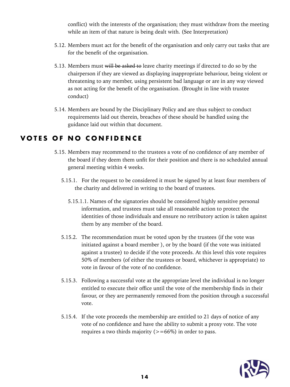conflict) with the interests of the organisation; they must withdraw from the meeting while an item of that nature is being dealt with. (See Interpretation)

- 5.12. Members must act for the benefit of the organisation and only carry out tasks that are for the benefit of the organisation.
- 5.13. Members must will be asked to leave charity meetings if directed to do so by the chairperson if they are viewed as displaying inappropriate behaviour, being violent or threatening to any member, using persistent bad language or are in any way viewed as not acting for the benefit of the organisation. (Brought in line with trustee conduct)
- 5.14. Members are bound by the Disciplinary Policy and are thus subject to conduct requirements laid out therein, breaches of these should be handled using the guidance laid out within that document.

### <span id="page-13-0"></span>**VOTES OF NO CONFIDENCE**

- 5.15. Members may recommend to the trustees a vote of no confidence of any member of the board if they deem them unfit for their position and there is no scheduled annual general meeting within 4 weeks.
	- 5.15.1. For the request to be considered it must be signed by at least four members of the charity and delivered in writing to the board of trustees.
		- 5.15.1.1. Names of the signatories should be considered highly sensitive personal information, and trustees must take all reasonable action to protect the identities of those individuals and ensure no retributory action is taken against them by any member of the board.
	- 5.15.2. The recommendation must be voted upon by the trustees (if the vote was initiated against a board member ), or by the board (if the vote was initiated against a trustee) to decide if the vote proceeds. At this level this vote requires 50% of members (of either the trustees or board, whichever is appropriate) to vote in favour of the vote of no confidence.
	- 5.15.3. Following a successful vote at the appropriate level the individual is no longer entitled to execute their office until the vote of the membership finds in their favour, or they are permanently removed from the position through a successful vote.
	- 5.15.4. If the vote proceeds the membership are entitled to 21 days of notice of any vote of no confidence and have the ability to submit a proxy vote. The vote requires a two thirds majority ( $> = 66\%$ ) in order to pass.

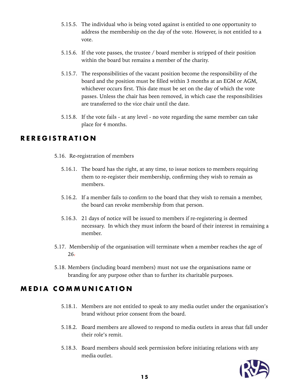- 5.15.5. The individual who is being voted against is entitled to one opportunity to address the membership on the day of the vote. However, is not entitled to a vote.
- 5.15.6. If the vote passes, the trustee / board member is stripped of their position within the board but remains a member of the charity.
- 5.15.7. The responsibilities of the vacant position become the responsibility of the board and the position must be filled within 3 months at an EGM or AGM, whichever occurs first. This date must be set on the day of which the vote passes. Unless the chair has been removed, in which case the responsibilities are transferred to the vice chair until the date.
- 5.15.8. If the vote fails at any level no vote regarding the same member can take place for 4 months.

### <span id="page-14-0"></span>**REREGISTRATION**

- 5.16. Re-registration of members
	- 5.16.1. The board has the right, at any time, to issue notices to members requiring them to re-register their membership, confirming they wish to remain as members.
	- 5.16.2. If a member fails to confirm to the board that they wish to remain a member, the board can revoke membership from that person.
	- 5.16.3. 21 days of notice will be issued to members if re-registering is deemed necessary. In which they must inform the board of their interest in remaining a member.
- 5.17. Membership of the organisation will terminate when a member reaches the age of  $26 -$
- 5.18. Members (including board members) must not use the organisations name or branding for any purpose other than to further its charitable purposes.

### <span id="page-14-1"></span>**MEDIA COMMUNICATION**

- 5.18.1. Members are not entitled to speak to any media outlet under the organisation's brand without prior consent from the board.
- 5.18.2. Board members are allowed to respond to media outlets in areas that fall under their role's remit.
- 5.18.3. Board members should seek permission before initiating relations with any media outlet.

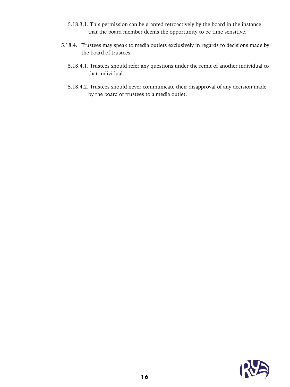- 5.18.3.1. This permission can be granted retroactively by the board in the instance that the board member deems the opportunity to be time sensitive.
- 5.18.4. Trustees may speak to media outlets exclusively in regards to decisions made by the board of trustees.
	- 5.18.4.1. Trustees should refer any questions under the remit of another individual to that individual.
	- 5.18.4.2. Trustees should never communicate their disapproval of any decision made by the board of trustees to a media outlet.

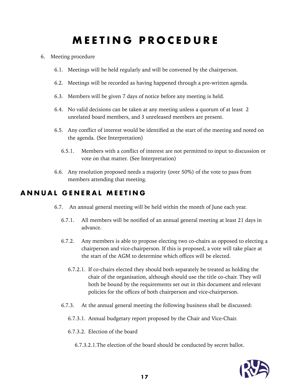### <span id="page-16-0"></span>**MEETING PROCEDURE**

- 6. Meeting procedure
	- 6.1. Meetings will be held regularly and will be convened by the chairperson.
	- 6.2. Meetings will be recorded as having happened through a pre-written agenda.
	- 6.3. Members will be given 7 days of notice before any meeting is held.
	- 6.4. No valid decisions can be taken at any meeting unless a quorum of at least 2 unrelated board members, and 3 unreleased members are present.
	- 6.5. Any conflict of interest would be identified at the start of the meeting and noted on the agenda. (See Interpretation)
		- 6.5.1. Members with a conflict of interest are not permitted to input to discussion or vote on that matter. (See Interpretation)
	- 6.6. Any resolution proposed needs a majority (over 50%) of the vote to pass from members attending that meeting.

### <span id="page-16-1"></span>**ANNUAL GENERAL MEETING**

- 6.7. An annual general meeting will be held within the month of June each year.
	- 6.7.1. All members will be notified of an annual general meeting at least 21 days in advance.
	- 6.7.2. Any members is able to propose electing two co-chairs as opposed to electing a chairperson and vice-chairperson. If this is proposed, a vote will take place at the start of the AGM to determine which offices will be elected.
		- 6.7.2.1. If co-chairs elected they should both separately be treated as holding the chair of the organisation, although should use the title co-chair. They will both be bound by the requirements set out in this document and relevant policies for the offices of both chairperson and vice-chairperson.
	- 6.7.3. At the annual general meeting the following business shall be discussed:
		- 6.7.3.1. Annual budgetary report proposed by the Chair and Vice-Chair.
		- 6.7.3.2. Election of the board
			- 6.7.3.2.1.The election of the board should be conducted by secret ballot.

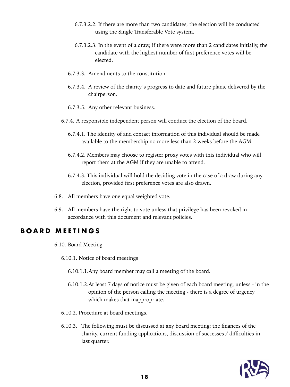- 6.7.3.2.2. If there are more than two candidates, the election will be conducted using the Single Transferable Vote system.
- 6.7.3.2.3. In the event of a draw, if there were more than 2 candidates initially, the candidate with the highest number of first preference votes will be elected.
- 6.7.3.3. Amendments to the constitution
- 6.7.3.4. A review of the charity's progress to date and future plans, delivered by the chairperson.
- 6.7.3.5. Any other relevant business.
- 6.7.4. A responsible independent person will conduct the election of the board.
	- 6.7.4.1. The identity of and contact information of this individual should be made available to the membership no more less than 2 weeks before the AGM.
	- 6.7.4.2. Members may choose to register proxy votes with this individual who will report them at the AGM if they are unable to attend.
	- 6.7.4.3. This individual will hold the deciding vote in the case of a draw during any election, provided first preference votes are also drawn.
- 6.8. All members have one equal weighted vote.
- 6.9. All members have the right to vote unless that privilege has been revoked in accordance with this document and relevant policies.

### <span id="page-17-0"></span>**BOARD MEETINGS**

- 6.10. Board Meeting
	- 6.10.1. Notice of board meetings
		- 6.10.1.1.Any board member may call a meeting of the board.
		- 6.10.1.2.At least 7 days of notice must be given of each board meeting, unless in the opinion of the person calling the meeting - there is a degree of urgency which makes that inappropriate.
	- 6.10.2. Procedure at board meetings.
	- 6.10.3. The following must be discussed at any board meeting: the finances of the charity, current funding applications, discussion of successes / difficulties in last quarter.

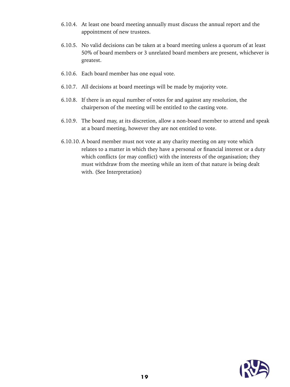- 6.10.4. At least one board meeting annually must discuss the annual report and the appointment of new trustees.
- 6.10.5. No valid decisions can be taken at a board meeting unless a quorum of at least 50% of board members or 3 unrelated board members are present, whichever is greatest.
- 6.10.6. Each board member has one equal vote.
- 6.10.7. All decisions at board meetings will be made by majority vote.
- 6.10.8. If there is an equal number of votes for and against any resolution, the chairperson of the meeting will be entitled to the casting vote.
- 6.10.9. The board may, at its discretion, allow a non-board member to attend and speak at a board meeting, however they are not entitled to vote.
- 6.10.10. A board member must not vote at any charity meeting on any vote which relates to a matter in which they have a personal or financial interest or a duty which conflicts (or may conflict) with the interests of the organisation; they must withdraw from the meeting while an item of that nature is being dealt with. (See Interpretation)

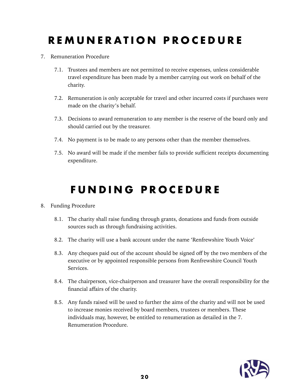## <span id="page-19-0"></span>**REMUNERATION PROCEDURE**

- 7. Remuneration Procedure
	- 7.1. Trustees and members are not permitted to receive expenses, unless considerable travel expenditure has been made by a member carrying out work on behalf of the charity.
	- 7.2. Remuneration is only acceptable for travel and other incurred costs if purchases were made on the charity's behalf.
	- 7.3. Decisions to award remuneration to any member is the reserve of the board only and should carried out by the treasurer.
	- 7.4. No payment is to be made to any persons other than the member themselves.
	- 7.5. No award will be made if the member fails to provide sufficient receipts documenting expenditure.

### <span id="page-19-1"></span>**FUNDING PROCEDURE**

- 8. Funding Procedure
	- 8.1. The charity shall raise funding through grants, donations and funds from outside sources such as through fundraising activities.
	- 8.2. The charity will use a bank account under the name 'Renfrewshire Youth Voice'
	- 8.3. Any cheques paid out of the account should be signed off by the two members of the executive or by appointed responsible persons from Renfrewshire Council Youth Services.
	- 8.4. The chairperson, vice-chairperson and treasurer have the overall responsibility for the financial affairs of the charity.
	- 8.5. Any funds raised will be used to further the aims of the charity and will not be used to increase monies received by board members, trustees or members. These individuals may, however, be entitled to renumeration as detailed in the 7. Renumeration Procedure.

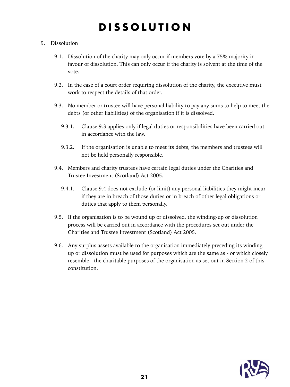## <span id="page-20-0"></span>**DISSOLUTION**

### 9. Dissolution

- 9.1. Dissolution of the charity may only occur if members vote by a 75% majority in favour of dissolution. This can only occur if the charity is solvent at the time of the vote.
- 9.2. In the case of a court order requiring dissolution of the charity, the executive must work to respect the details of that order.
- 9.3. No member or trustee will have personal liability to pay any sums to help to meet the debts (or other liabilities) of the organisation if it is dissolved.
	- 9.3.1. Clause 9.3 applies only if legal duties or responsibilities have been carried out in accordance with the law.
	- 9.3.2. If the organisation is unable to meet its debts, the members and trustees will not be held personally responsible.
- 9.4. Members and charity trustees have certain legal duties under the Charities and Trustee Investment (Scotland) Act 2005.
	- 9.4.1. Clause 9.4 does not exclude (or limit) any personal liabilities they might incur if they are in breach of those duties or in breach of other legal obligations or duties that apply to them personally.
- 9.5. If the organisation is to be wound up or dissolved, the winding-up or dissolution process will be carried out in accordance with the procedures set out under the Charities and Trustee Investment (Scotland) Act 2005.
- 9.6. Any surplus assets available to the organisation immediately preceding its winding up or dissolution must be used for purposes which are the same as - or which closely resemble - the charitable purposes of the organisation as set out in Section 2 of this constitution.

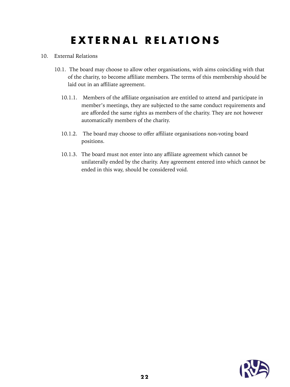## <span id="page-21-0"></span>**EXTERNAL RELATIONS**

- 10. External Relations
	- 10.1. The board may choose to allow other organisations, with aims coinciding with that of the charity, to become affiliate members. The terms of this membership should be laid out in an affiliate agreement.
		- 10.1.1. Members of the affiliate organisation are entitled to attend and participate in member's meetings, they are subjected to the same conduct requirements and are afforded the same rights as members of the charity. They are not however automatically members of the charity.
		- 10.1.2. The board may choose to offer affiliate organisations non-voting board positions.
		- 10.1.3. The board must not enter into any affiliate agreement which cannot be unilaterally ended by the charity. Any agreement entered into which cannot be ended in this way, should be considered void.

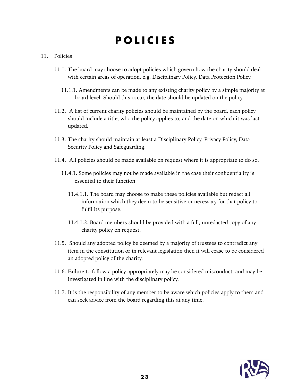## <span id="page-22-0"></span>**POLICIES**

#### 11. Policies

- 11.1. The board may choose to adopt policies which govern how the charity should deal with certain areas of operation. e.g. Disciplinary Policy, Data Protection Policy.
	- 11.1.1. Amendments can be made to any existing charity policy by a simple majority at board level. Should this occur, the date should be updated on the policy.
- 11.2. A list of current charity policies should be maintained by the board, each policy should include a title, who the policy applies to, and the date on which it was last updated.
- 11.3. The charity should maintain at least a Disciplinary Policy, Privacy Policy, Data Security Policy and Safeguarding.
- 11.4. All policies should be made available on request where it is appropriate to do so.
	- 11.4.1. Some policies may not be made available in the case their confidentiality is essential to their function.
		- 11.4.1.1. The board may choose to make these policies available but redact all information which they deem to be sensitive or necessary for that policy to fulfil its purpose.
		- 11.4.1.2. Board members should be provided with a full, unredacted copy of any charity policy on request.
- 11.5. Should any adopted policy be deemed by a majority of trustees to contradict any item in the constitution or in relevant legislation then it will cease to be considered an adopted policy of the charity.
- 11.6. Failure to follow a policy appropriately may be considered misconduct, and may be investigated in line with the disciplinary policy.
- 11.7. It is the responsibility of any member to be aware which policies apply to them and can seek advice from the board regarding this at any time.

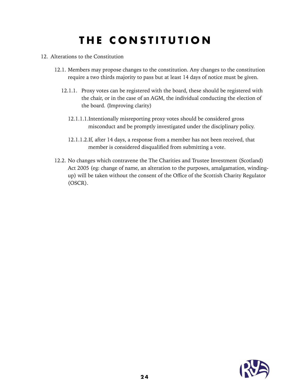## <span id="page-23-0"></span>**THE CONSTITUTION**

- 12. Alterations to the Constitution
	- 12.1. Members may propose changes to the constitution. Any changes to the constitution require a two thirds majority to pass but at least 14 days of notice must be given.
		- 12.1.1. Proxy votes can be registered with the board, these should be registered with the chair, or in the case of an AGM, the individual conducting the election of the board. (Improving clarity)
			- 12.1.1.1.Intentionally misreporting proxy votes should be considered gross misconduct and be promptly investigated under the disciplinary policy.
			- 12.1.1.2.If, after 14 days, a response from a member has not been received, that member is considered disqualified from submitting a vote.
	- 12.2. No changes which contravene the The Charities and Trustee Investment (Scotland) Act 2005 (eg: change of name, an alteration to the purposes, amalgamation, windingup) will be taken without the consent of the Office of the Scottish Charity Regulator (OSCR).